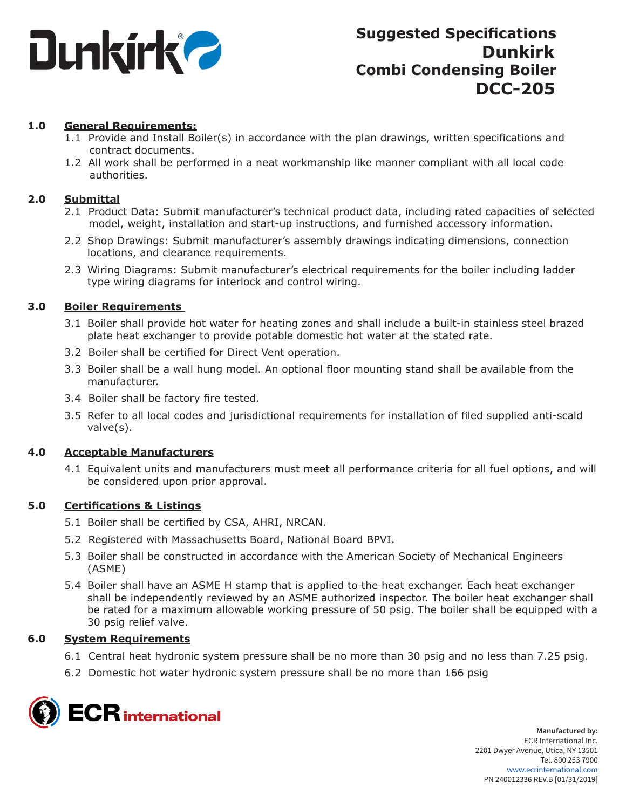

# **1.0 General Requirements:**

- 1.1 Provide and Install Boiler(s) in accordance with the plan drawings, written specifications and contract documents.
- 1.2 All work shall be performed in a neat workmanship like manner compliant with all local code authorities.

## **2.0 Submittal**

- 2.1 Product Data: Submit manufacturer's technical product data, including rated capacities of selected model, weight, installation and start-up instructions, and furnished accessory information.
- 2.2 Shop Drawings: Submit manufacturer's assembly drawings indicating dimensions, connection locations, and clearance requirements.
- 2.3 Wiring Diagrams: Submit manufacturer's electrical requirements for the boiler including ladder type wiring diagrams for interlock and control wiring.

## **3.0 Boiler Requirements**

- 3.1 Boiler shall provide hot water for heating zones and shall include a built-in stainless steel brazed plate heat exchanger to provide potable domestic hot water at the stated rate.
- 3.2 Boiler shall be certified for Direct Vent operation.
- 3.3 Boiler shall be a wall hung model. An optional floor mounting stand shall be available from the manufacturer.
- 3.4 Boiler shall be factory fire tested.
- 3.5 Refer to all local codes and jurisdictional requirements for installation of filed supplied anti-scald valve(s).

### **4.0 Acceptable Manufacturers**

4.1 Equivalent units and manufacturers must meet all performance criteria for all fuel options, and will be considered upon prior approval.

### **5.0 Certifications & Listings**

- 5.1 Boiler shall be certified by CSA, AHRI, NRCAN.
- 5.2 Registered with Massachusetts Board, National Board BPVI.
- 5.3 Boiler shall be constructed in accordance with the American Society of Mechanical Engineers (ASME)
- 5.4 Boiler shall have an ASME H stamp that is applied to the heat exchanger. Each heat exchanger shall be independently reviewed by an ASME authorized inspector. The boiler heat exchanger shall be rated for a maximum allowable working pressure of 50 psig. The boiler shall be equipped with a 30 psig relief valve.

### **6.0 System Requirements**

- 6.1 Central heat hydronic system pressure shall be no more than 30 psig and no less than 7.25 psig.
- 6.2 Domestic hot water hydronic system pressure shall be no more than 166 psig

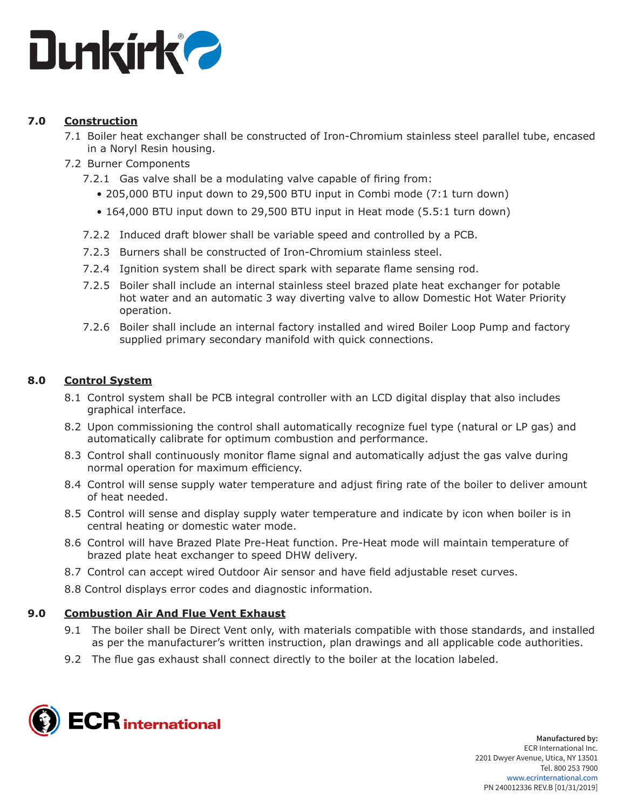

# **7.0 Construction**

- 7.1 Boiler heat exchanger shall be constructed of Iron-Chromium stainless steel parallel tube, encased in a Noryl Resin housing.
- 7.2 Burner Components
	- 7.2.1 Gas valve shall be a modulating valve capable of firing from:
		- 205,000 BTU input down to 29,500 BTU input in Combi mode (7:1 turn down)
		- 164,000 BTU input down to 29,500 BTU input in Heat mode (5.5:1 turn down)
	- 7.2.2 Induced draft blower shall be variable speed and controlled by a PCB.
	- 7.2.3 Burners shall be constructed of Iron-Chromium stainless steel.
	- 7.2.4 Ignition system shall be direct spark with separate flame sensing rod.
	- 7.2.5 Boiler shall include an internal stainless steel brazed plate heat exchanger for potable hot water and an automatic 3 way diverting valve to allow Domestic Hot Water Priority operation.
	- 7.2.6 Boiler shall include an internal factory installed and wired Boiler Loop Pump and factory supplied primary secondary manifold with quick connections.

# **8.0 Control System**

- 8.1 Control system shall be PCB integral controller with an LCD digital display that also includes graphical interface.
- 8.2 Upon commissioning the control shall automatically recognize fuel type (natural or LP gas) and automatically calibrate for optimum combustion and performance.
- 8.3 Control shall continuously monitor flame signal and automatically adjust the gas valve during normal operation for maximum efficiency.
- 8.4 Control will sense supply water temperature and adjust firing rate of the boiler to deliver amount of heat needed.
- 8.5 Control will sense and display supply water temperature and indicate by icon when boiler is in central heating or domestic water mode.
- 8.6 Control will have Brazed Plate Pre-Heat function. Pre-Heat mode will maintain temperature of brazed plate heat exchanger to speed DHW delivery.
- 8.7 Control can accept wired Outdoor Air sensor and have field adjustable reset curves.
- 8.8 Control displays error codes and diagnostic information.

# **9.0 Combustion Air And Flue Vent Exhaust**

- 9.1 The boiler shall be Direct Vent only, with materials compatible with those standards, and installed as per the manufacturer's written instruction, plan drawings and all applicable code authorities.
- 9.2 The flue gas exhaust shall connect directly to the boiler at the location labeled.